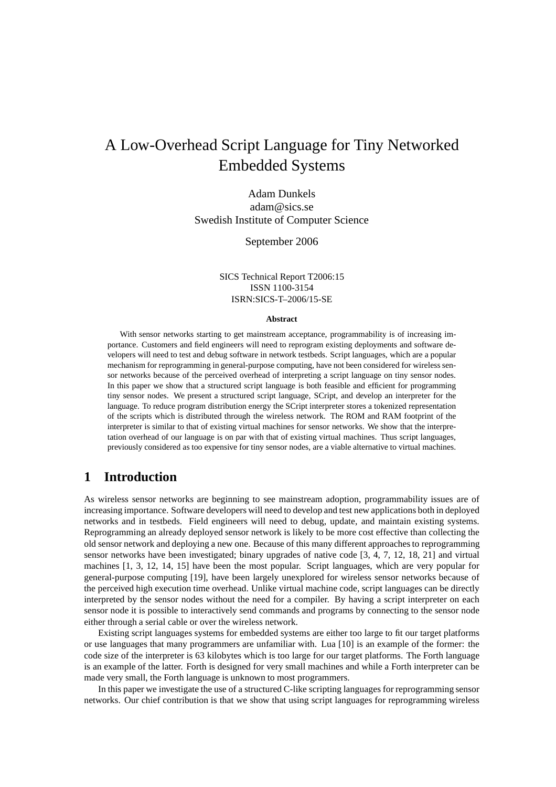# A Low-Overhead Script Language for Tiny Networked Embedded Systems

Adam Dunkels adam@sics.se Swedish Institute of Computer Science

September 2006

SICS Technical Report T2006:15 ISSN 1100-3154 ISRN:SICS-T–2006/15-SE

#### **Abstract**

With sensor networks starting to get mainstream acceptance, programmability is of increasing importance. Customers and field engineers will need to reprogram existing deployments and software developers will need to test and debug software in network testbeds. Script languages, which are a popular mechanism for reprogramming in general-purpose computing, have not been considered for wireless sensor networks because of the perceived overhead of interpreting a script language on tiny sensor nodes. In this paper we show that a structured script language is both feasible and efficient for programming tiny sensor nodes. We present a structured script language, SCript, and develop an interpreter for the language. To reduce program distribution energy the SCript interpreter stores a tokenized representation of the scripts which is distributed through the wireless network. The ROM and RAM footprint of the interpreter is similar to that of existing virtual machines for sensor networks. We show that the interpretation overhead of our language is on par with that of existing virtual machines. Thus script languages, previously considered as too expensive for tiny sensor nodes, are a viable alternative to virtual machines.

# **1 Introduction**

As wireless sensor networks are beginning to see mainstream adoption, programmability issues are of increasing importance. Software developers will need to develop and test new applications both in deployed networks and in testbeds. Field engineers will need to debug, update, and maintain existing systems. Reprogramming an already deployed sensor network is likely to be more cost effective than collecting the old sensor network and deploying a new one. Because of this many different approaches to reprogramming sensor networks have been investigated; binary upgrades of native code [3, 4, 7, 12, 18, 21] and virtual machines [1, 3, 12, 14, 15] have been the most popular. Script languages, which are very popular for general-purpose computing [19], have been largely unexplored for wireless sensor networks because of the perceived high execution time overhead. Unlike virtual machine code, script languages can be directly interpreted by the sensor nodes without the need for a compiler. By having a script interpreter on each sensor node it is possible to interactively send commands and programs by connecting to the sensor node either through a serial cable or over the wireless network.

Existing script languages systems for embedded systems are either too large to fit our target platforms or use languages that many programmers are unfamiliar with. Lua [10] is an example of the former: the code size of the interpreter is 63 kilobytes which is too large for our target platforms. The Forth language is an example of the latter. Forth is designed for very small machines and while a Forth interpreter can be made very small, the Forth language is unknown to most programmers.

In this paper we investigate the use of a structured C-like scripting languages for reprogramming sensor networks. Our chief contribution is that we show that using script languages for reprogramming wireless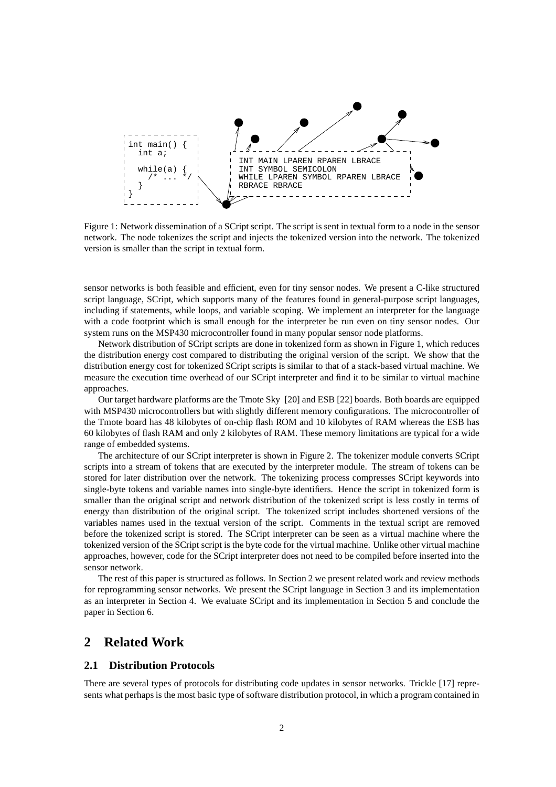

Figure 1: Network dissemination of a SCript script. The script is sent in textual form to a node in the sensor network. The node tokenizes the script and injects the tokenized version into the network. The tokenized version is smaller than the script in textual form.

sensor networks is both feasible and efficient, even for tiny sensor nodes. We present a C-like structured script language, SCript, which supports many of the features found in general-purpose script languages, including if statements, while loops, and variable scoping. We implement an interpreter for the language with a code footprint which is small enough for the interpreter be run even on tiny sensor nodes. Our system runs on the MSP430 microcontroller found in many popular sensor node platforms.

Network distribution of SCript scripts are done in tokenized form as shown in Figure 1, which reduces the distribution energy cost compared to distributing the original version of the script. We show that the distribution energy cost for tokenized SCript scripts is similar to that of a stack-based virtual machine. We measure the execution time overhead of our SCript interpreter and find it to be similar to virtual machine approaches.

Our target hardware platforms are the Tmote Sky [20] and ESB [22] boards. Both boards are equipped with MSP430 microcontrollers but with slightly different memory configurations. The microcontroller of the Tmote board has 48 kilobytes of on-chip flash ROM and 10 kilobytes of RAM whereas the ESB has 60 kilobytes of flash RAM and only 2 kilobytes of RAM. These memory limitations are typical for a wide range of embedded systems.

The architecture of our SCript interpreter is shown in Figure 2. The tokenizer module converts SCript scripts into a stream of tokens that are executed by the interpreter module. The stream of tokens can be stored for later distribution over the network. The tokenizing process compresses SCript keywords into single-byte tokens and variable names into single-byte identifiers. Hence the script in tokenized form is smaller than the original script and network distribution of the tokenized script is less costly in terms of energy than distribution of the original script. The tokenized script includes shortened versions of the variables names used in the textual version of the script. Comments in the textual script are removed before the tokenized script is stored. The SCript interpreter can be seen as a virtual machine where the tokenized version of the SCript script is the byte code for the virtual machine. Unlike other virtual machine approaches, however, code for the SCript interpreter does not need to be compiled before inserted into the sensor network.

The rest of this paper is structured as follows. In Section 2 we present related work and review methods for reprogramming sensor networks. We present the SCript language in Section 3 and its implementation as an interpreter in Section 4. We evaluate SCript and its implementation in Section 5 and conclude the paper in Section 6.

# **2 Related Work**

#### **2.1 Distribution Protocols**

There are several types of protocols for distributing code updates in sensor networks. Trickle [17] represents what perhaps is the most basic type of software distribution protocol, in which a program contained in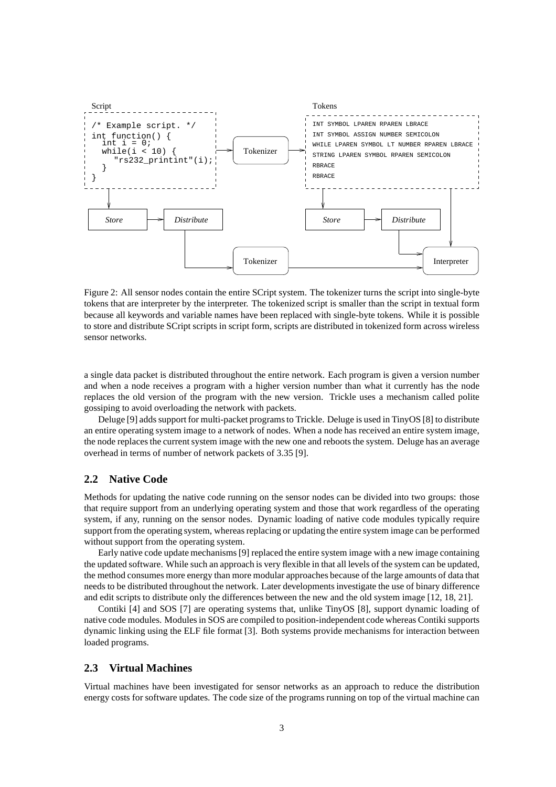

Figure 2: All sensor nodes contain the entire SCript system. The tokenizer turns the script into single-byte tokens that are interpreter by the interpreter. The tokenized script is smaller than the script in textual form because all keywords and variable names have been replaced with single-byte tokens. While it is possible to store and distribute SCript scripts in script form, scripts are distributed in tokenized form across wireless sensor networks.

a single data packet is distributed throughout the entire network. Each program is given a version number and when a node receives a program with a higher version number than what it currently has the node replaces the old version of the program with the new version. Trickle uses a mechanism called polite gossiping to avoid overloading the network with packets.

Deluge [9] adds support for multi-packet programs to Trickle. Deluge is used in TinyOS [8] to distribute an entire operating system image to a network of nodes. When a node has received an entire system image, the node replaces the current system image with the new one and reboots the system. Deluge has an average overhead in terms of number of network packets of 3.35 [9].

# **2.2 Native Code**

Methods for updating the native code running on the sensor nodes can be divided into two groups: those that require support from an underlying operating system and those that work regardless of the operating system, if any, running on the sensor nodes. Dynamic loading of native code modules typically require support from the operating system, whereas replacing or updating the entire system image can be performed without support from the operating system.

Early native code update mechanisms [9] replaced the entire system image with a new image containing the updated software. While such an approach is very flexible in that all levels of the system can be updated, the method consumes more energy than more modular approaches because of the large amounts of data that needs to be distributed throughout the network. Later developments investigate the use of binary difference and edit scripts to distribute only the differences between the new and the old system image [12, 18, 21].

Contiki [4] and SOS [7] are operating systems that, unlike TinyOS [8], support dynamic loading of native code modules. Modules in SOS are compiled to position-independent code whereas Contiki supports dynamic linking using the ELF file format [3]. Both systems provide mechanisms for interaction between loaded programs.

## **2.3 Virtual Machines**

Virtual machines have been investigated for sensor networks as an approach to reduce the distribution energy costs for software updates. The code size of the programs running on top of the virtual machine can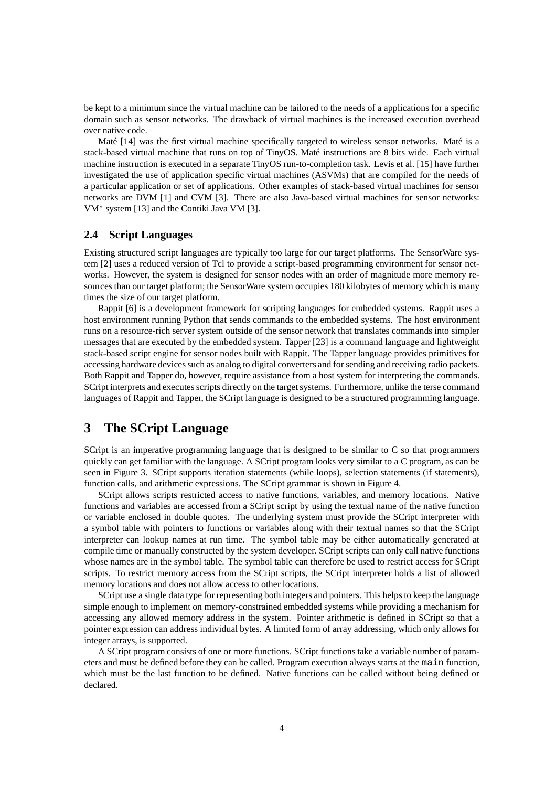be kept to a minimum since the virtual machine can be tailored to the needs of a applications for a specific domain such as sensor networks. The drawback of virtual machines is the increased execution overhead over native code.

Maté [14] was the first virtual machine specifically targeted to wireless sensor networks. Maté is a stack-based virtual machine that runs on top of TinyOS. Maté instructions are 8 bits wide. Each virtual machine instruction is executed in a separate TinyOS run-to-completion task. Levis et al. [15] have further investigated the use of application specific virtual machines (ASVMs) that are compiled for the needs of a particular application or set of applications. Other examples of stack-based virtual machines for sensor networks are DVM [1] and CVM [3]. There are also Java-based virtual machines for sensor networks: VM<sup>\*</sup> system [13] and the Contiki Java VM [3].

### **2.4 Script Languages**

Existing structured script languages are typically too large for our target platforms. The SensorWare system [2] uses a reduced version of Tcl to provide a script-based programming environment for sensor networks. However, the system is designed for sensor nodes with an order of magnitude more memory resources than our target platform; the SensorWare system occupies 180 kilobytes of memory which is many times the size of our target platform.

Rappit [6] is a development framework for scripting languages for embedded systems. Rappit uses a host environment running Python that sends commands to the embedded systems. The host environment runs on a resource-rich server system outside of the sensor network that translates commands into simpler messages that are executed by the embedded system. Tapper [23] is a command language and lightweight stack-based script engine for sensor nodes built with Rappit. The Tapper language provides primitives for accessing hardware devices such as analog to digital converters and for sending and receiving radio packets. Both Rappit and Tapper do, however, require assistance from a host system for interpreting the commands. SCript interprets and executes scripts directly on the target systems. Furthermore, unlike the terse command languages of Rappit and Tapper, the SCript language is designed to be a structured programming language.

# **3 The SCript Language**

SCript is an imperative programming language that is designed to be similar to C so that programmers quickly can get familiar with the language. A SCript program looks very similar to a C program, as can be seen in Figure 3. SCript supports iteration statements (while loops), selection statements (if statements), function calls, and arithmetic expressions. The SCript grammar is shown in Figure 4.

SCript allows scripts restricted access to native functions, variables, and memory locations. Native functions and variables are accessed from a SCript script by using the textual name of the native function or variable enclosed in double quotes. The underlying system must provide the SCript interpreter with a symbol table with pointers to functions or variables along with their textual names so that the SCript interpreter can lookup names at run time. The symbol table may be either automatically generated at compile time or manually constructed by the system developer. SCript scripts can only call native functions whose names are in the symbol table. The symbol table can therefore be used to restrict access for SCript scripts. To restrict memory access from the SCript scripts, the SCript interpreter holds a list of allowed memory locations and does not allow access to other locations.

SCript use a single data type for representing both integers and pointers. This helps to keep the language simple enough to implement on memory-constrained embedded systems while providing a mechanism for accessing any allowed memory address in the system. Pointer arithmetic is defined in SCript so that a pointer expression can address individual bytes. A limited form of array addressing, which only allows for integer arrays, is supported.

A SCript program consists of one or more functions. SCript functions take a variable number of parameters and must be defined before they can be called. Program execution always starts at the main function, which must be the last function to be defined. Native functions can be called without being defined or declared.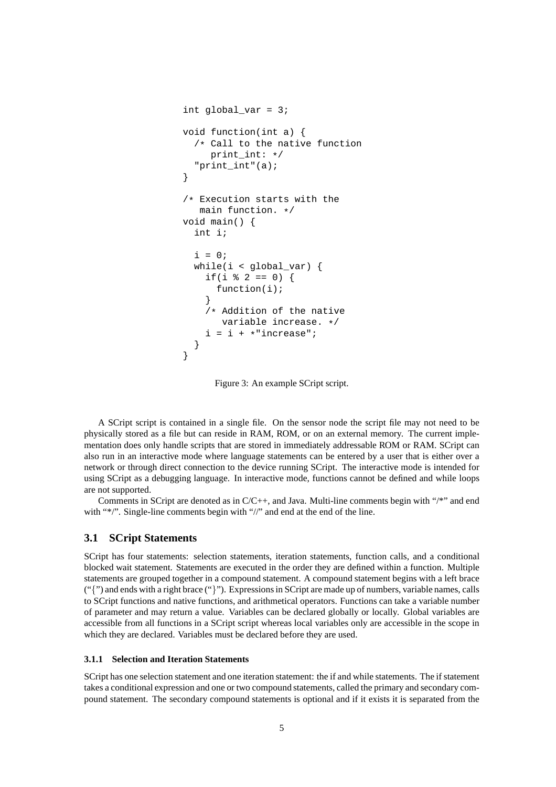```
int global var = 3;void function(int a) {
  /* Call to the native function
     print int: */"print_int"(a);
}
/* Execution starts with the
   main function. */
void main() {
  int i;
  i = 0;while(i < global_var) {
    if(i \frac{1}{2} 2 == 0) {
      function(i);
    }
    /* Addition of the native
       variable increase. */
    i = i + * "increase";
  }
}
```
Figure 3: An example SCript script.

A SCript script is contained in a single file. On the sensor node the script file may not need to be physically stored as a file but can reside in RAM, ROM, or on an external memory. The current implementation does only handle scripts that are stored in immediately addressable ROM or RAM. SCript can also run in an interactive mode where language statements can be entered by a user that is either over a network or through direct connection to the device running SCript. The interactive mode is intended for using SCript as a debugging language. In interactive mode, functions cannot be defined and while loops are not supported.

Comments in SCript are denoted as in  $C/C++$ , and Java. Multi-line comments begin with "/\*" and end with "\*/". Single-line comments begin with "//" and end at the end of the line.

# **3.1 SCript Statements**

SCript has four statements: selection statements, iteration statements, function calls, and a conditional blocked wait statement. Statements are executed in the order they are defined within a function. Multiple statements are grouped together in a compound statement. A compound statement begins with a left brace  $('{''}$ ) and ends with a right brace  $(''$ ). Expressions in SCript are made up of numbers, variable names, calls to SCript functions and native functions, and arithmetical operators. Functions can take a variable number of parameter and may return a value. Variables can be declared globally or locally. Global variables are accessible from all functions in a SCript script whereas local variables only are accessible in the scope in which they are declared. Variables must be declared before they are used.

# **3.1.1 Selection and Iteration Statements**

SCript has one selection statement and one iteration statement: the if and while statements. The if statement takes a conditional expression and one or two compound statements, called the primary and secondary compound statement. The secondary compound statements is optional and if it exists it is separated from the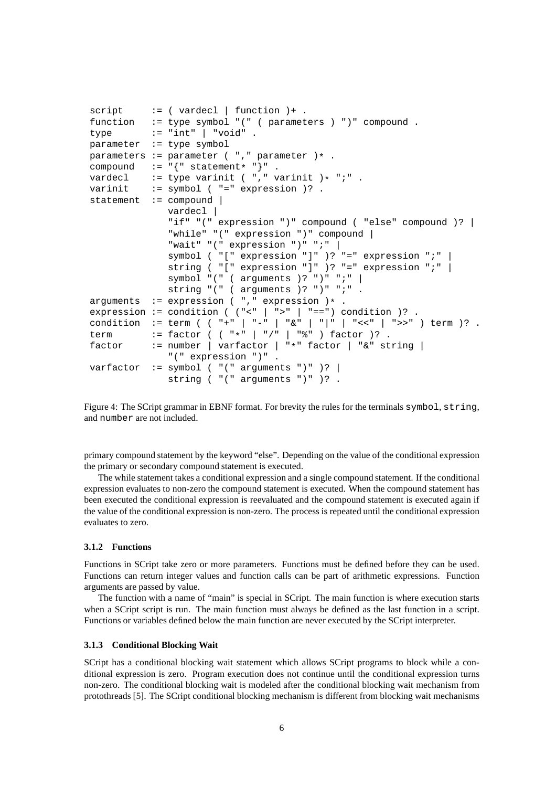```
script := (varded \mid function) + .function := type symbol "(" ( parameters ) ")" compound .
type := "int" | "void" .
parameter := type symbol
parameters := parameter ( " , " ) parameter ) *.
compound := "\{" statement* "\}" .<br>vardecl := type varinit ( "," v
vardecl := type varinit ( "," varinit )* "i".<br>varinit := symbol ( "=" expression )?.
           := symbol ( "=" expression )? .
statement := compound |
              vardecl |
               "if" "(" expression ")" compound ( "else" compound )? |
               "while" "(" expression ")" compound |
               "wait" "(" expression ")" ";" |
               symbol ( "[" expression "]" )? "=" expression ";" |
               string ( "[" expression "]" )? "=" expression ";" |
               symbol "(" ( arguments )? ")" ";" |
              string "(" ( arguments )? ")" ";" .
arguments := expression ( "," expression )* .
expression := condition ( ("<-| ">-" | "==") condition )?.
condition := term ( ( "+" | "-" | "&" | "|" | "<<" | ">>" ) term )? .
term := factor ( ("*" | "/" | "*" ) factor )?.
factor := number | varfactor | "*" factor | "&" string |
               "(" expression ")" .
varfactor := symbol ( "(" arguments ")" )?
               string ( "(" arguments ")" )? .
```
Figure 4: The SCript grammar in EBNF format. For brevity the rules for the terminals symbol, string, and number are not included.

primary compound statement by the keyword "else". Depending on the value of the conditional expression the primary or secondary compound statement is executed.

The while statement takes a conditional expression and a single compound statement. If the conditional expression evaluates to non-zero the compound statement is executed. When the compound statement has been executed the conditional expression is reevaluated and the compound statement is executed again if the value of the conditional expression is non-zero. The process is repeated until the conditional expression evaluates to zero.

#### **3.1.2 Functions**

Functions in SCript take zero or more parameters. Functions must be defined before they can be used. Functions can return integer values and function calls can be part of arithmetic expressions. Function arguments are passed by value.

The function with a name of "main" is special in SCript. The main function is where execution starts when a SCript script is run. The main function must always be defined as the last function in a script. Functions or variables defined below the main function are never executed by the SCript interpreter.

#### **3.1.3 Conditional Blocking Wait**

SCript has a conditional blocking wait statement which allows SCript programs to block while a conditional expression is zero. Program execution does not continue until the conditional expression turns non-zero. The conditional blocking wait is modeled after the conditional blocking wait mechanism from protothreads [5]. The SCript conditional blocking mechanism is different from blocking wait mechanisms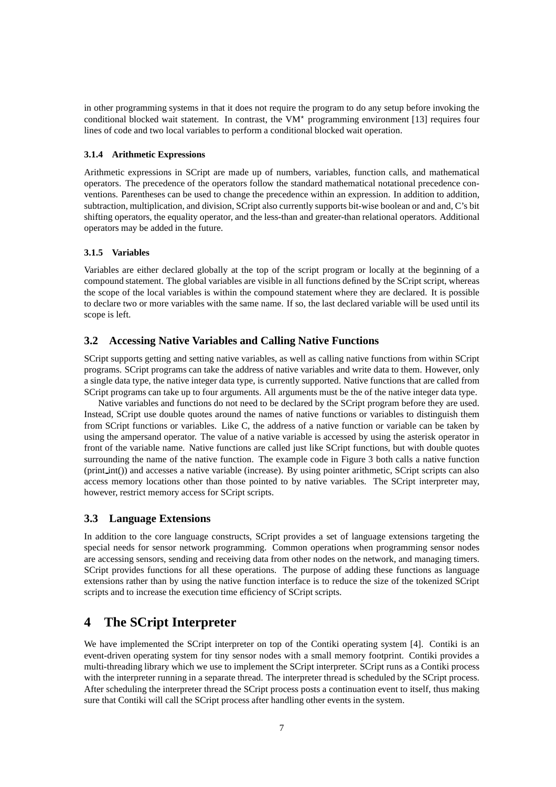in other programming systems in that it does not require the program to do any setup before invoking the conditional blocked wait statement. In contrast, the  $VM^*$  programming environment [13] requires four lines of code and two local variables to perform a conditional blocked wait operation.

#### **3.1.4 Arithmetic Expressions**

Arithmetic expressions in SCript are made up of numbers, variables, function calls, and mathematical operators. The precedence of the operators follow the standard mathematical notational precedence conventions. Parentheses can be used to change the precedence within an expression. In addition to addition, subtraction, multiplication, and division, SCript also currently supports bit-wise boolean or and and, C's bit shifting operators, the equality operator, and the less-than and greater-than relational operators. Additional operators may be added in the future.

#### **3.1.5 Variables**

Variables are either declared globally at the top of the script program or locally at the beginning of a compound statement. The global variables are visible in all functions defined by the SCript script, whereas the scope of the local variables is within the compound statement where they are declared. It is possible to declare two or more variables with the same name. If so, the last declared variable will be used until its scope is left.

# **3.2 Accessing Native Variables and Calling Native Functions**

SCript supports getting and setting native variables, as well as calling native functions from within SCript programs. SCript programs can take the address of native variables and write data to them. However, only a single data type, the native integer data type, is currently supported. Native functions that are called from SCript programs can take up to four arguments. All arguments must be the of the native integer data type.

Native variables and functions do not need to be declared by the SCript program before they are used. Instead, SCript use double quotes around the names of native functions or variables to distinguish them from SCript functions or variables. Like C, the address of a native function or variable can be taken by using the ampersand operator. The value of a native variable is accessed by using the asterisk operator in front of the variable name. Native functions are called just like SCript functions, but with double quotes surrounding the name of the native function. The example code in Figure 3 both calls a native function (print int()) and accesses a native variable (increase). By using pointer arithmetic, SCript scripts can also access memory locations other than those pointed to by native variables. The SCript interpreter may, however, restrict memory access for SCript scripts.

# **3.3 Language Extensions**

In addition to the core language constructs, SCript provides a set of language extensions targeting the special needs for sensor network programming. Common operations when programming sensor nodes are accessing sensors, sending and receiving data from other nodes on the network, and managing timers. SCript provides functions for all these operations. The purpose of adding these functions as language extensions rather than by using the native function interface is to reduce the size of the tokenized SCript scripts and to increase the execution time efficiency of SCript scripts.

# **4 The SCript Interpreter**

We have implemented the SCript interpreter on top of the Contiki operating system [4]. Contiki is an event-driven operating system for tiny sensor nodes with a small memory footprint. Contiki provides a multi-threading library which we use to implement the SCript interpreter. SCript runs as a Contiki process with the interpreter running in a separate thread. The interpreter thread is scheduled by the SCript process. After scheduling the interpreter thread the SCript process posts a continuation event to itself, thus making sure that Contiki will call the SCript process after handling other events in the system.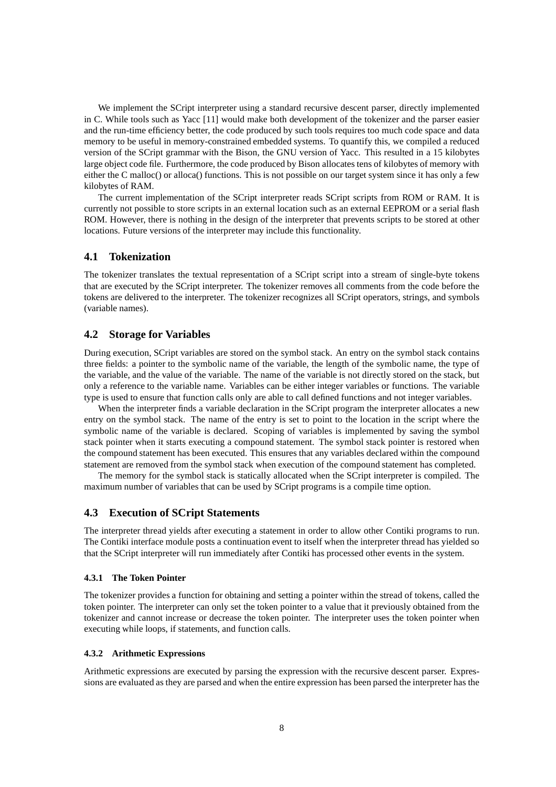We implement the SCript interpreter using a standard recursive descent parser, directly implemented in C. While tools such as Yacc [11] would make both development of the tokenizer and the parser easier and the run-time efficiency better, the code produced by such tools requires too much code space and data memory to be useful in memory-constrained embedded systems. To quantify this, we compiled a reduced version of the SCript grammar with the Bison, the GNU version of Yacc. This resulted in a 15 kilobytes large object code file. Furthermore, the code produced by Bison allocates tens of kilobytes of memory with either the C malloc() or alloca() functions. This is not possible on our target system since it has only a few kilobytes of RAM.

The current implementation of the SCript interpreter reads SCript scripts from ROM or RAM. It is currently not possible to store scripts in an external location such as an external EEPROM or a serial flash ROM. However, there is nothing in the design of the interpreter that prevents scripts to be stored at other locations. Future versions of the interpreter may include this functionality.

## **4.1 Tokenization**

The tokenizer translates the textual representation of a SCript script into a stream of single-byte tokens that are executed by the SCript interpreter. The tokenizer removes all comments from the code before the tokens are delivered to the interpreter. The tokenizer recognizes all SCript operators, strings, and symbols (variable names).

## **4.2 Storage for Variables**

During execution, SCript variables are stored on the symbol stack. An entry on the symbol stack contains three fields: a pointer to the symbolic name of the variable, the length of the symbolic name, the type of the variable, and the value of the variable. The name of the variable is not directly stored on the stack, but only a reference to the variable name. Variables can be either integer variables or functions. The variable type is used to ensure that function calls only are able to call defined functions and not integer variables.

When the interpreter finds a variable declaration in the SCript program the interpreter allocates a new entry on the symbol stack. The name of the entry is set to point to the location in the script where the symbolic name of the variable is declared. Scoping of variables is implemented by saving the symbol stack pointer when it starts executing a compound statement. The symbol stack pointer is restored when the compound statement has been executed. This ensures that any variables declared within the compound statement are removed from the symbol stack when execution of the compound statement has completed.

The memory for the symbol stack is statically allocated when the SCript interpreter is compiled. The maximum number of variables that can be used by SCript programs is a compile time option.

#### **4.3 Execution of SCript Statements**

The interpreter thread yields after executing a statement in order to allow other Contiki programs to run. The Contiki interface module posts a continuation event to itself when the interpreter thread has yielded so that the SCript interpreter will run immediately after Contiki has processed other events in the system.

#### **4.3.1 The Token Pointer**

The tokenizer provides a function for obtaining and setting a pointer within the stread of tokens, called the token pointer. The interpreter can only set the token pointer to a value that it previously obtained from the tokenizer and cannot increase or decrease the token pointer. The interpreter uses the token pointer when executing while loops, if statements, and function calls.

#### **4.3.2 Arithmetic Expressions**

Arithmetic expressions are executed by parsing the expression with the recursive descent parser. Expressions are evaluated as they are parsed and when the entire expression has been parsed the interpreter has the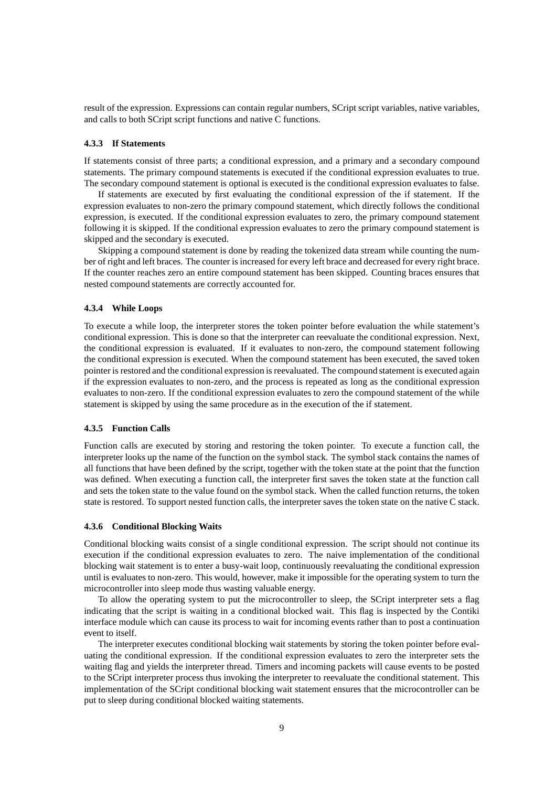result of the expression. Expressions can contain regular numbers, SCript script variables, native variables, and calls to both SCript script functions and native C functions.

#### **4.3.3 If Statements**

If statements consist of three parts; a conditional expression, and a primary and a secondary compound statements. The primary compound statements is executed if the conditional expression evaluates to true. The secondary compound statement is optional is executed is the conditional expression evaluates to false.

If statements are executed by first evaluating the conditional expression of the if statement. If the expression evaluates to non-zero the primary compound statement, which directly follows the conditional expression, is executed. If the conditional expression evaluates to zero, the primary compound statement following it is skipped. If the conditional expression evaluates to zero the primary compound statement is skipped and the secondary is executed.

Skipping a compound statement is done by reading the tokenized data stream while counting the number of right and left braces. The counter is increased for every left brace and decreased for every right brace. If the counter reaches zero an entire compound statement has been skipped. Counting braces ensures that nested compound statements are correctly accounted for.

#### **4.3.4 While Loops**

To execute a while loop, the interpreter stores the token pointer before evaluation the while statement's conditional expression. This is done so that the interpreter can reevaluate the conditional expression. Next, the conditional expression is evaluated. If it evaluates to non-zero, the compound statement following the conditional expression is executed. When the compound statement has been executed, the saved token pointer is restored and the conditional expression is reevaluated. The compound statement is executed again if the expression evaluates to non-zero, and the process is repeated as long as the conditional expression evaluates to non-zero. If the conditional expression evaluates to zero the compound statement of the while statement is skipped by using the same procedure as in the execution of the if statement.

#### **4.3.5 Function Calls**

Function calls are executed by storing and restoring the token pointer. To execute a function call, the interpreter looks up the name of the function on the symbol stack. The symbol stack contains the names of all functions that have been defined by the script, together with the token state at the point that the function was defined. When executing a function call, the interpreter first saves the token state at the function call and sets the token state to the value found on the symbol stack. When the called function returns, the token state is restored. To support nested function calls, the interpreter saves the token state on the native C stack.

#### **4.3.6 Conditional Blocking Waits**

Conditional blocking waits consist of a single conditional expression. The script should not continue its execution if the conditional expression evaluates to zero. The naive implementation of the conditional blocking wait statement is to enter a busy-wait loop, continuously reevaluating the conditional expression until is evaluates to non-zero. This would, however, make it impossible for the operating system to turn the microcontroller into sleep mode thus wasting valuable energy.

To allow the operating system to put the microcontroller to sleep, the SCript interpreter sets a flag indicating that the script is waiting in a conditional blocked wait. This flag is inspected by the Contiki interface module which can cause its process to wait for incoming events rather than to post a continuation event to itself.

The interpreter executes conditional blocking wait statements by storing the token pointer before evaluating the conditional expression. If the conditional expression evaluates to zero the interpreter sets the waiting flag and yields the interpreter thread. Timers and incoming packets will cause events to be posted to the SCript interpreter process thus invoking the interpreter to reevaluate the conditional statement. This implementation of the SCript conditional blocking wait statement ensures that the microcontroller can be put to sleep during conditional blocked waiting statements.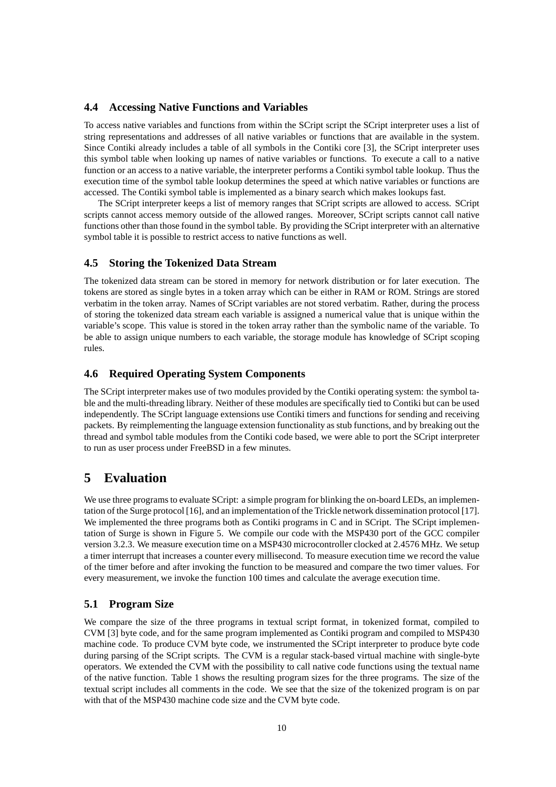## **4.4 Accessing Native Functions and Variables**

To access native variables and functions from within the SCript script the SCript interpreter uses a list of string representations and addresses of all native variables or functions that are available in the system. Since Contiki already includes a table of all symbols in the Contiki core [3], the SCript interpreter uses this symbol table when looking up names of native variables or functions. To execute a call to a native function or an access to a native variable, the interpreter performs a Contiki symbol table lookup. Thus the execution time of the symbol table lookup determines the speed at which native variables or functions are accessed. The Contiki symbol table is implemented as a binary search which makes lookups fast.

The SCript interpreter keeps a list of memory ranges that SCript scripts are allowed to access. SCript scripts cannot access memory outside of the allowed ranges. Moreover, SCript scripts cannot call native functions other than those found in the symbol table. By providing the SCript interpreter with an alternative symbol table it is possible to restrict access to native functions as well.

# **4.5 Storing the Tokenized Data Stream**

The tokenized data stream can be stored in memory for network distribution or for later execution. The tokens are stored as single bytes in a token array which can be either in RAM or ROM. Strings are stored verbatim in the token array. Names of SCript variables are not stored verbatim. Rather, during the process of storing the tokenized data stream each variable is assigned a numerical value that is unique within the variable's scope. This value is stored in the token array rather than the symbolic name of the variable. To be able to assign unique numbers to each variable, the storage module has knowledge of SCript scoping rules.

## **4.6 Required Operating System Components**

The SCript interpreter makes use of two modules provided by the Contiki operating system: the symbol table and the multi-threading library. Neither of these modules are specifically tied to Contiki but can be used independently. The SCript language extensions use Contiki timers and functions for sending and receiving packets. By reimplementing the language extension functionality as stub functions, and by breaking out the thread and symbol table modules from the Contiki code based, we were able to port the SCript interpreter to run as user process under FreeBSD in a few minutes.

# **5 Evaluation**

We use three programs to evaluate SCript: a simple program for blinking the on-board LEDs, an implementation of the Surge protocol [16], and an implementation of the Trickle network dissemination protocol [17]. We implemented the three programs both as Contiki programs in C and in SCript. The SCript implementation of Surge is shown in Figure 5. We compile our code with the MSP430 port of the GCC compiler version 3.2.3. We measure execution time on a MSP430 microcontroller clocked at 2.4576 MHz. We setup a timer interrupt that increases a counter every millisecond. To measure execution time we record the value of the timer before and after invoking the function to be measured and compare the two timer values. For every measurement, we invoke the function 100 times and calculate the average execution time.

## **5.1 Program Size**

We compare the size of the three programs in textual script format, in tokenized format, compiled to CVM [3] byte code, and for the same program implemented as Contiki program and compiled to MSP430 machine code. To produce CVM byte code, we instrumented the SCript interpreter to produce byte code during parsing of the SCript scripts. The CVM is a regular stack-based virtual machine with single-byte operators. We extended the CVM with the possibility to call native code functions using the textual name of the native function. Table 1 shows the resulting program sizes for the three programs. The size of the textual script includes all comments in the code. We see that the size of the tokenized program is on par with that of the MSP430 machine code size and the CVM byte code.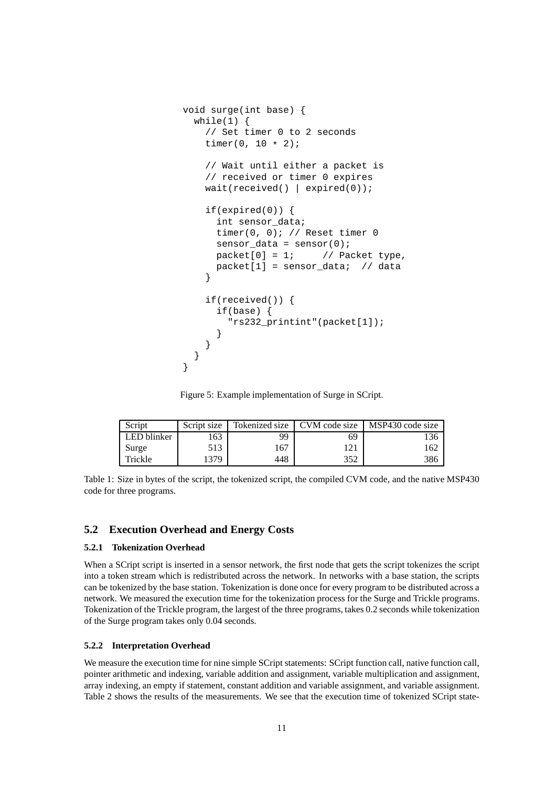```
void surge(int base) {
  while(1) {
    // Set timer 0 to 2 seconds
    timer(0, 10 * 2);
    // Wait until either a packet is
    // received or timer 0 expires
    wait(received() | expired(0));
    if(expired(0)) {
      int sensor_data;
      timer(0, 0); // Reset timer 0
      sensor data = sensor(0);
      packet[0] = 1; // Packet type,
      packet[1] = sensor_data; // data
    }
    if(received()) {
      if(base) {
        "rs232_printint"(packet[1]);
      }
    }
  }
}
```
Figure 5: Example implementation of Surge in SCript.

| Script      | Script size |     | Tokenized size   CVM code size | MSP430 code size |
|-------------|-------------|-----|--------------------------------|------------------|
| LED blinker | 163         | 99  | 69                             |                  |
| Surge       | 513         | 167 |                                | 62               |
| Trickle     | 379         | 448 | 352                            |                  |

Table 1: Size in bytes of the script, the tokenized script, the compiled CVM code, and the native MSP430 code for three programs.

## **5.2 Execution Overhead and Energy Costs**

#### **5.2.1 Tokenization Overhead**

When a SCript script is inserted in a sensor network, the first node that gets the script tokenizes the script into a token stream which is redistributed across the network. In networks with a base station, the scripts can be tokenized by the base station. Tokenization is done once for every program to be distributed across a network. We measured the execution time for the tokenization process for the Surge and Trickle programs. Tokenization of the Trickle program, the largest of the three programs, takes 0.2 seconds while tokenization of the Surge program takes only 0.04 seconds.

#### **5.2.2 Interpretation Overhead**

We measure the execution time for nine simple SCript statements: SCript function call, native function call, pointer arithmetic and indexing, variable addition and assignment, variable multiplication and assignment, array indexing, an empty if statement, constant addition and variable assignment, and variable assignment. Table 2 shows the results of the measurements. We see that the execution time of tokenized SCript state-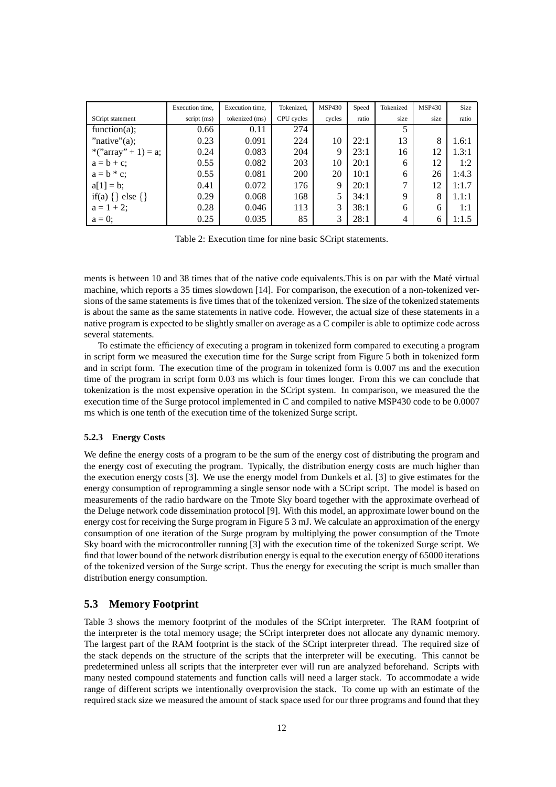|                            | Execution time, | Execution time. | Tokenized, | <b>MSP430</b> | Speed | Tokenized | <b>MSP430</b> | Size  |
|----------------------------|-----------------|-----------------|------------|---------------|-------|-----------|---------------|-------|
| SCript statement           | script (ms)     | tokenized (ms)  | CPU cycles | cycles        | ratio | size      | size          | ratio |
| function(a);               | 0.66            | 0.11            | 274        |               |       |           |               |       |
| "native" $(a)$ ;           | 0.23            | 0.091           | 224        | 10            | 22:1  | 13        | 8             | 1.6:1 |
| *(" $array" + 1) = a;$     | 0.24            | 0.083           | 204        | 9             | 23:1  | 16        | 12            | 1.3:1 |
| $a = b + c$ ;              | 0.55            | 0.082           | 203        | 10            | 20:1  | 6         | 12            | 1:2   |
| $a = b * c$ ;              | 0.55            | 0.081           | 200        | 20            | 10:1  | 6         | 26            | 1:4.3 |
| $a[1] = b;$                | 0.41            | 0.072           | 176        | 9             | 20:1  | ⇁         | 12            | 1:1.7 |
| if(a) $\{ \}$ else $\{ \}$ | 0.29            | 0.068           | 168        | 5             | 34:1  | 9         | 8             | 1.1:1 |
| $a = 1 + 2$ ;              | 0.28            | 0.046           | 113        | 3             | 38:1  | 6         | 6             | 1:1   |
| $a=0$ ;                    | 0.25            | 0.035           | 85         | 3             | 28:1  | 4         | 6             | 1:1.5 |

Table 2: Execution time for nine basic SCript statements.

ments is between 10 and 38 times that of the native code equivalents. This is on par with the Maté virtual machine, which reports a 35 times slowdown [14]. For comparison, the execution of a non-tokenized versions of the same statements is five times that of the tokenized version. The size of the tokenized statements is about the same as the same statements in native code. However, the actual size of these statements in a native program is expected to be slightly smaller on average as a C compiler is able to optimize code across several statements.

To estimate the efficiency of executing a program in tokenized form compared to executing a program in script form we measured the execution time for the Surge script from Figure 5 both in tokenized form and in script form. The execution time of the program in tokenized form is 0.007 ms and the execution time of the program in script form 0.03 ms which is four times longer. From this we can conclude that tokenization is the most expensive operation in the SCript system. In comparison, we measured the the execution time of the Surge protocol implemented in C and compiled to native MSP430 code to be 0.0007 ms which is one tenth of the execution time of the tokenized Surge script.

#### **5.2.3 Energy Costs**

We define the energy costs of a program to be the sum of the energy cost of distributing the program and the energy cost of executing the program. Typically, the distribution energy costs are much higher than the execution energy costs [3]. We use the energy model from Dunkels et al. [3] to give estimates for the energy consumption of reprogramming a single sensor node with a SCript script. The model is based on measurements of the radio hardware on the Tmote Sky board together with the approximate overhead of the Deluge network code dissemination protocol [9]. With this model, an approximate lower bound on the energy cost for receiving the Surge program in Figure 5 3 mJ. We calculate an approximation of the energy consumption of one iteration of the Surge program by multiplying the power consumption of the Tmote Sky board with the microcontroller running [3] with the execution time of the tokenized Surge script. We find that lower bound of the network distribution energy is equal to the execution energy of 65000 iterations of the tokenized version of the Surge script. Thus the energy for executing the script is much smaller than distribution energy consumption.

#### **5.3 Memory Footprint**

Table 3 shows the memory footprint of the modules of the SCript interpreter. The RAM footprint of the interpreter is the total memory usage; the SCript interpreter does not allocate any dynamic memory. The largest part of the RAM footprint is the stack of the SCript interpreter thread. The required size of the stack depends on the structure of the scripts that the interpreter will be executing. This cannot be predetermined unless all scripts that the interpreter ever will run are analyzed beforehand. Scripts with many nested compound statements and function calls will need a larger stack. To accommodate a wide range of different scripts we intentionally overprovision the stack. To come up with an estimate of the required stack size we measured the amount of stack space used for our three programs and found that they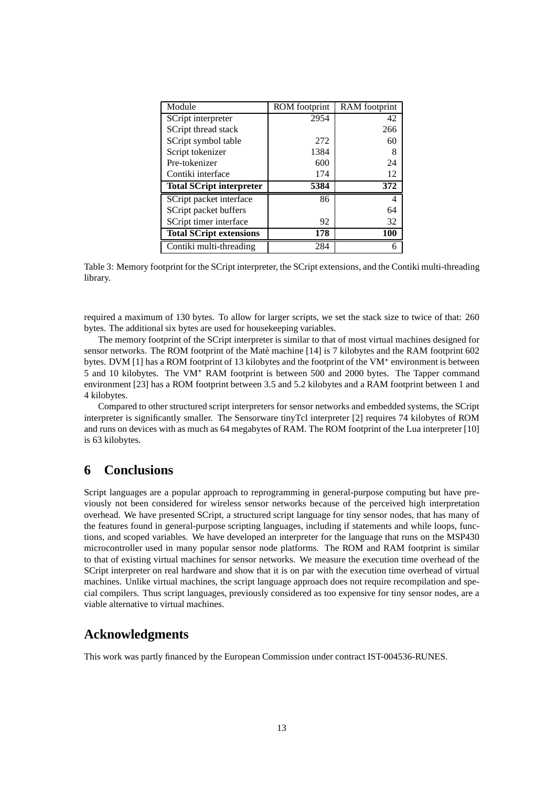| Module                          | ROM footprint | RAM footprint |  |
|---------------------------------|---------------|---------------|--|
| SCript interpreter              | 2954          | 42            |  |
| SCript thread stack             |               | 266           |  |
| SCript symbol table             | 272           | 60            |  |
| Script tokenizer                | 1384          | 8             |  |
| Pre-tokenizer                   | 600           | 24            |  |
| Contiki interface               | 174           | 12            |  |
| <b>Total SCript interpreter</b> | 5384          | 372           |  |
| SCript packet interface         | 86            | 4             |  |
| SCript packet buffers           |               | 64            |  |
| SCript timer interface          | 92            | 32            |  |
| <b>Total SCript extensions</b>  | 178           | 100           |  |
| Contiki multi-threading         | 284           | 6             |  |

Table 3: Memory footprint for the SCript interpreter, the SCript extensions, and the Contiki multi-threading library.

required a maximum of 130 bytes. To allow for larger scripts, we set the stack size to twice of that: 260 bytes. The additional six bytes are used for housekeeping variables.

The memory footprint of the SCript interpreter is similar to that of most virtual machines designed for sensor networks. The ROM footprint of the Maté machine [14] is 7 kilobytes and the RAM footprint 602 bytes. DVM [1] has a ROM footprint of 13 kilobytes and the footprint of the VM<sup>\*</sup> environment is between 5 and 10 kilobytes. The VM<sup> $\star$ </sup> RAM footprint is between 500 and 2000 bytes. The Tapper command environment [23] has a ROM footprint between 3.5 and 5.2 kilobytes and a RAM footprint between 1 and 4 kilobytes.

Compared to other structured script interpreters for sensor networks and embedded systems, the SCript interpreter is significantly smaller. The Sensorware tinyTcl interpreter [2] requires 74 kilobytes of ROM and runs on devices with as much as 64 megabytes of RAM. The ROM footprint of the Lua interpreter [10] is 63 kilobytes.

# **6 Conclusions**

Script languages are a popular approach to reprogramming in general-purpose computing but have previously not been considered for wireless sensor networks because of the perceived high interpretation overhead. We have presented SCript, a structured script language for tiny sensor nodes, that has many of the features found in general-purpose scripting languages, including if statements and while loops, functions, and scoped variables. We have developed an interpreter for the language that runs on the MSP430 microcontroller used in many popular sensor node platforms. The ROM and RAM footprint is similar to that of existing virtual machines for sensor networks. We measure the execution time overhead of the SCript interpreter on real hardware and show that it is on par with the execution time overhead of virtual machines. Unlike virtual machines, the script language approach does not require recompilation and special compilers. Thus script languages, previously considered as too expensive for tiny sensor nodes, are a viable alternative to virtual machines.

# **Acknowledgments**

This work was partly financed by the European Commission under contract IST-004536-RUNES.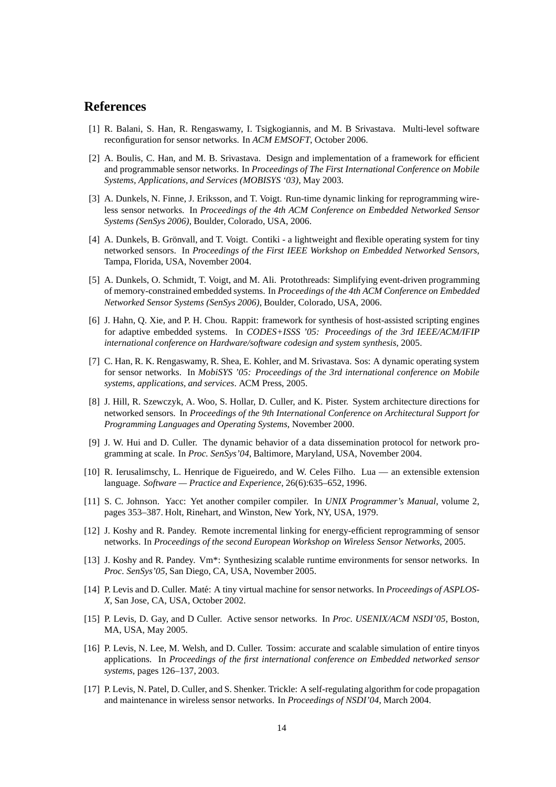# **References**

- [1] R. Balani, S. Han, R. Rengaswamy, I. Tsigkogiannis, and M. B Srivastava. Multi-level software reconfiguration for sensor networks. In *ACM EMSOFT*, October 2006.
- [2] A. Boulis, C. Han, and M. B. Srivastava. Design and implementation of a framework for efficient and programmable sensor networks. In *Proceedings of The First International Conference on Mobile Systems, Applications, and Services (MOBISYS '03)*, May 2003.
- [3] A. Dunkels, N. Finne, J. Eriksson, and T. Voigt. Run-time dynamic linking for reprogramming wireless sensor networks. In *Proceedings of the 4th ACM Conference on Embedded Networked Sensor Systems (SenSys 2006)*, Boulder, Colorado, USA, 2006.
- [4] A. Dunkels, B. Grönvall, and T. Voigt. Contiki a lightweight and flexible operating system for tiny networked sensors. In *Proceedings of the First IEEE Workshop on Embedded Networked Sensors*, Tampa, Florida, USA, November 2004.
- [5] A. Dunkels, O. Schmidt, T. Voigt, and M. Ali. Protothreads: Simplifying event-driven programming of memory-constrained embedded systems. In *Proceedings of the 4th ACM Conference on Embedded Networked Sensor Systems (SenSys 2006)*, Boulder, Colorado, USA, 2006.
- [6] J. Hahn, Q. Xie, and P. H. Chou. Rappit: framework for synthesis of host-assisted scripting engines for adaptive embedded systems. In *CODES+ISSS '05: Proceedings of the 3rd IEEE/ACM/IFIP international conference on Hardware/software codesign and system synthesis*, 2005.
- [7] C. Han, R. K. Rengaswamy, R. Shea, E. Kohler, and M. Srivastava. Sos: A dynamic operating system for sensor networks. In *MobiSYS '05: Proceedings of the 3rd international conference on Mobile systems, applications, and services*. ACM Press, 2005.
- [8] J. Hill, R. Szewczyk, A. Woo, S. Hollar, D. Culler, and K. Pister. System architecture directions for networked sensors. In *Proceedings of the 9th International Conference on Architectural Support for Programming Languages and Operating Systems*, November 2000.
- [9] J. W. Hui and D. Culler. The dynamic behavior of a data dissemination protocol for network programming at scale. In *Proc. SenSys'04*, Baltimore, Maryland, USA, November 2004.
- [10] R. Ierusalimschy, L. Henrique de Figueiredo, and W. Celes Filho. Lua an extensible extension language. *Software — Practice and Experience*, 26(6):635–652, 1996.
- [11] S. C. Johnson. Yacc: Yet another compiler compiler. In *UNIX Programmer's Manual*, volume 2, pages 353–387. Holt, Rinehart, and Winston, New York, NY, USA, 1979.
- [12] J. Koshy and R. Pandey. Remote incremental linking for energy-efficient reprogramming of sensor networks. In *Proceedings of the second European Workshop on Wireless Sensor Networks*, 2005.
- [13] J. Koshy and R. Pandey. Vm\*: Synthesizing scalable runtime environments for sensor networks. In *Proc. SenSys'05*, San Diego, CA, USA, November 2005.
- [14] P. Levis and D. Culler. Maté: A tiny virtual machine for sensor networks. In *Proceedings of ASPLOS-X*, San Jose, CA, USA, October 2002.
- [15] P. Levis, D. Gay, and D Culler. Active sensor networks. In *Proc. USENIX/ACM NSDI'05*, Boston, MA, USA, May 2005.
- [16] P. Levis, N. Lee, M. Welsh, and D. Culler. Tossim: accurate and scalable simulation of entire tinyos applications. In *Proceedings of the first international conference on Embedded networked sensor systems*, pages 126–137, 2003.
- [17] P. Levis, N. Patel, D. Culler, and S. Shenker. Trickle: A self-regulating algorithm for code propagation and maintenance in wireless sensor networks. In *Proceedings of NSDI'04*, March 2004.